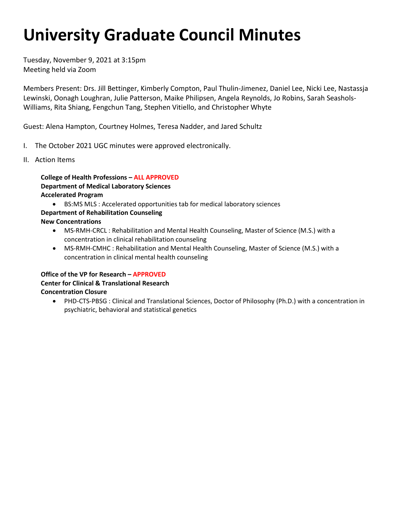# **University Graduate Council Minutes**

Tuesday, November 9, 2021 at 3:15pm Meeting held via Zoom

 Lewinski, Oonagh Loughran, Julie Patterson, Maike Philipsen, Angela Reynolds, Jo Robins, Sarah Seashols-Members Present: Drs. Jill Bettinger, Kimberly Compton, Paul Thulin-Jimenez, Daniel Lee, Nicki Lee, Nastassja Williams, Rita Shiang, Fengchun Tang, Stephen Vitiello, and Christopher Whyte

Guest: Alena Hampton, Courtney Holmes, Teresa Nadder, and Jared Schultz

- I. The October 2021 UGC minutes were approved electronically.
- II. Action Items

**College of Health Professions – ALL APPROVED Department of Medical Laboratory Sciences Accelerated Program** 

- BS:MS MLS : Accelerated opportunities tab for medical laboratory sciences
- **Department of Rehabilitation Counseling**

**New Concentrations** 

- MS-RMH-CRCL : Rehabilitation and Mental Health Counseling, Master of Science (M.S.) with a concentration in clinical rehabilitation counseling
- MS-RMH-CMHC : Rehabilitation and Mental Health Counseling, Master of Science (M.S.) with a concentration in clinical mental health counseling

#### **Office of the VP for Research – APPROVED**

### **Center for Clinical & Translational Research Concentration Closure**

 • PHD-CTS-PBSG : Clinical and Translational Sciences, Doctor of Philosophy (Ph.D.) with a concentration in psychiatric, behavioral and statistical genetics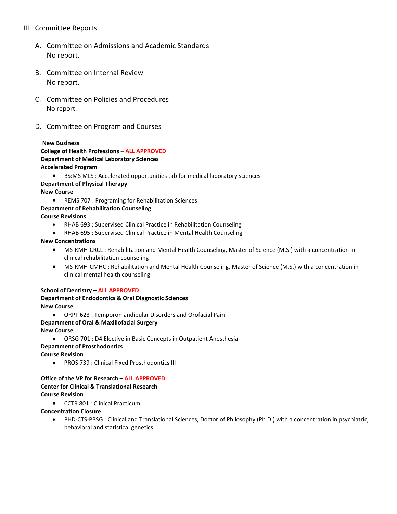#### III. Committee Reports

- A. Committee on Admissions and Academic Standards No report.
- B. Committee on Internal Review No report.
- C. Committee on Policies and Procedures No report.
- D. Committee on Program and Courses

#### **New Business**

#### **College of Health Professions – ALL APPROVED Department of Medical Laboratory Sciences Accelerated Program**

- BS:MS MLS : Accelerated opportunities tab for medical laboratory sciences **Department of Physical Therapy New Course** 
	- REMS 707 : Programing for Rehabilitation Sciences

#### **Department of Rehabilitation Counseling**

**Course Revisions** 

- RHAB 693 : Supervised Clinical Practice in Rehabilitation Counseling
- RHAB 695 : Supervised Clinical Practice in Mental Health Counseling

#### **New Concentrations**

- MS-RMH-CRCL : Rehabilitation and Mental Health Counseling, Master of Science (M.S.) with a concentration in clinical rehabilitation counseling
- clinical mental health counseling • MS-RMH-CMHC : Rehabilitation and Mental Health Counseling, Master of Science (M.S.) with a concentration in

#### **School of Dentistry – ALL APPROVED**

# **Department of Endodontics & Oral Diagnostic Sciences**

**New Course** 

• ORPT 623 : Temporomandibular Disorders and Orofacial Pain

## **Department of Oral & Maxillofacial Surgery**

**New Course** 

• ORSG 701 : D4 Elective in Basic Concepts in Outpatient Anesthesia

#### **Department of Prosthodontics**

**Course Revision** 

• PROS 739 : Clinical Fixed Prosthodontics III

#### **Office of the VP for Research – ALL APPROVED Center for Clinical & Translational Research Course Revision**

• CCTR 801 : Clinical Practicum

#### **Concentration Closure**

• PHD-CTS-PBSG : Clinical and Translational Sciences, Doctor of Philosophy (Ph.D.) with a concentration in psychiatric, behavioral and statistical genetics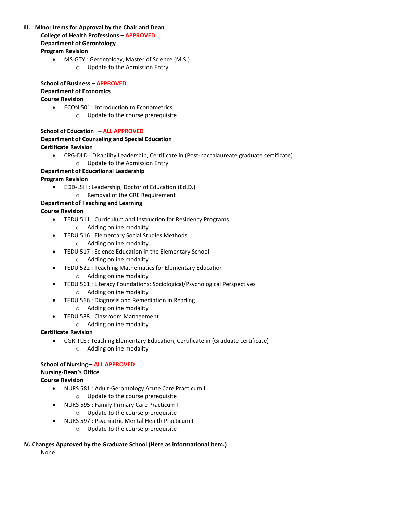- **III. Minor Items for Approval by the Chair and Dean College of Health Professions – APPROVED Department of Gerontology Program Revision** 
	- MS-GTY : Gerontology, Master of Science (M.S.)
		- o Update to the Admission Entry

 **School of Business – APPROVED Department of Economics Course Revision** 

• ECON 501 : Introduction to Econometrics o Update to the course prerequisite

 **School of Education – ALL APPROVED Department of Counseling and Special Education Certificate Revision** 

- CPG-DLD : Disability Leadership, Certificate in (Post-baccalaureate graduate certificate)
	- o Update to the Admission Entry

#### **Department of Educational Leadership**

#### **Program Revision**

- EDD-LSH : Leadership, Doctor of Education (Ed.D.)
	- o Removal of the GRE Requirement

# **Department of Teaching and Learning**

- **Course Revision** 
	- TEDU 511 : Curriculum and Instruction for Residency Programs
		- o Adding online modality
	- TEDU 516 : Elementary Social Studies Methods
		- o Adding online modality
	- TEDU 517 : Science Education in the Elementary School
		- o Adding online modality
	- TEDU 522 : Teaching Mathematics for Elementary Education
		- o Adding online modality
	- TEDU 561 : Literacy Foundations: Sociological/Psychological Perspectives
		- o Adding online modality
	- TEDU 566 : Diagnosis and Remediation in Reading
		- o Adding online modality
	- TEDU 588 : Classroom Management
		- o Adding online modality

#### **Certificate Revision**

- CGR-TLE : Teaching Elementary Education, Certificate in (Graduate certificate)
	- o Adding online modality

#### **School of Nursing – ALL APPROVED**

#### **Nursing-Dean's Office**

#### **Course Revision**

- NURS 581 : Adult-Gerontology Acute Care Practicum I
	- o Update to the course prerequisite
- NURS 595 : Family Primary Care Practicum I
	- o Update to the course prerequisite
- NURS 597 : Psychiatric Mental Health Practicum I
	- o Update to the course prerequisite

#### **IV. Changes Approved by the Graduate School (Here as informational item.)**

None.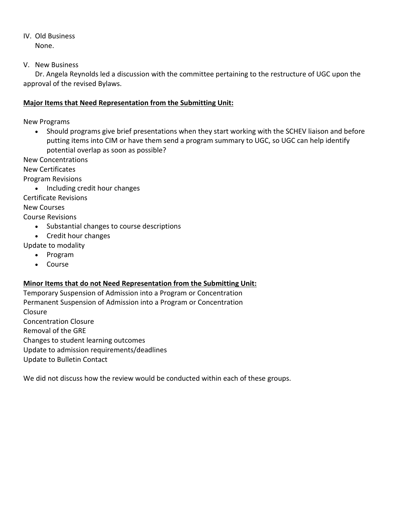IV. Old Business None.

V. New Business

 Dr. Angela Reynolds led a discussion with the committee pertaining to the restructure of UGC upon the approval of the revised Bylaws.

#### **Major Items that Need Representation from the Submitting Unit:**

New Programs

 • Should programs give brief presentations when they start working with the SCHEV liaison and before putting items into CIM or have them send a program summary to UGC, so UGC can help identify potential overlap as soon as possible?

New Concentrations

New Certificates

Program Revisions

• Including credit hour changes

Certificate Revisions

New Courses

Course Revisions

- Substantial changes to course descriptions
- Credit hour changes

Update to modality

- Program
- Course

### **Minor Items that do not Need Representation from the Submitting Unit:**

Changes to student learning outcomes Temporary Suspension of Admission into a Program or Concentration Permanent Suspension of Admission into a Program or Concentration Closure Concentration Closure Removal of the GRE Update to admission requirements/deadlines Update to Bulletin Contact

We did not discuss how the review would be conducted within each of these groups.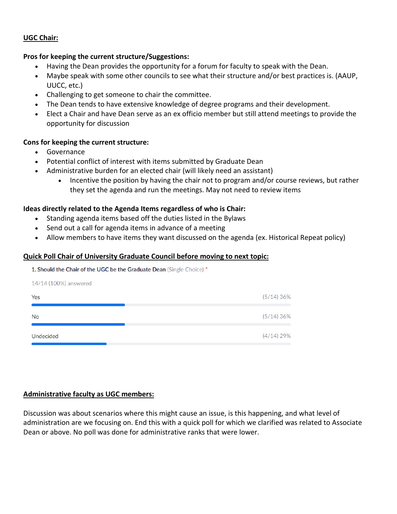#### **UGC Chair:**

#### **Pros for keeping the current structure/Suggestions:**

- Having the Dean provides the opportunity for a forum for faculty to speak with the Dean.
- Maybe speak with some other councils to see what their structure and/or best practices is. (AAUP, UUCC, etc.)
- Challenging to get someone to chair the committee.
- The Dean tends to have extensive knowledge of degree programs and their development.
- Elect a Chair and have Dean serve as an ex officio member but still attend meetings to provide the opportunity for discussion

#### **Cons for keeping the current structure:**

• Governance

14/14 (100%) answered

- Potential conflict of interest with items submitted by Graduate Dean
- • Administrative burden for an elected chair (will likely need an assistant)
	- they set the agenda and run the meetings. May not need to review items • Incentive the position by having the chair not to program and/or course reviews, but rather

#### **Ideas directly related to the Agenda Items regardless of who is Chair:**

- Standing agenda items based off the duties listed in the Bylaws
- Send out a call for agenda items in advance of a meeting
- Allow members to have items they want discussed on the agenda (ex. Historical Repeat policy)

#### **Quick Poll Chair of University Graduate Council before moving to next topic:**

**Should the Chair of the UGC be the Graduate Dean** (Single Choice) •

| Yes              | (5/14)36%    |
|------------------|--------------|
| No               | (5/14)36%    |
| <b>Undecided</b> | $(4/14)$ 29% |

#### **Administrative faculty as UGC members:**

 Discussion was about scenarios where this might cause an issue, is this happening, and what level of administration are we focusing on. End this with a quick poll for which we clarified was related to Associate Dean or above. No poll was done for administrative ranks that were lower.